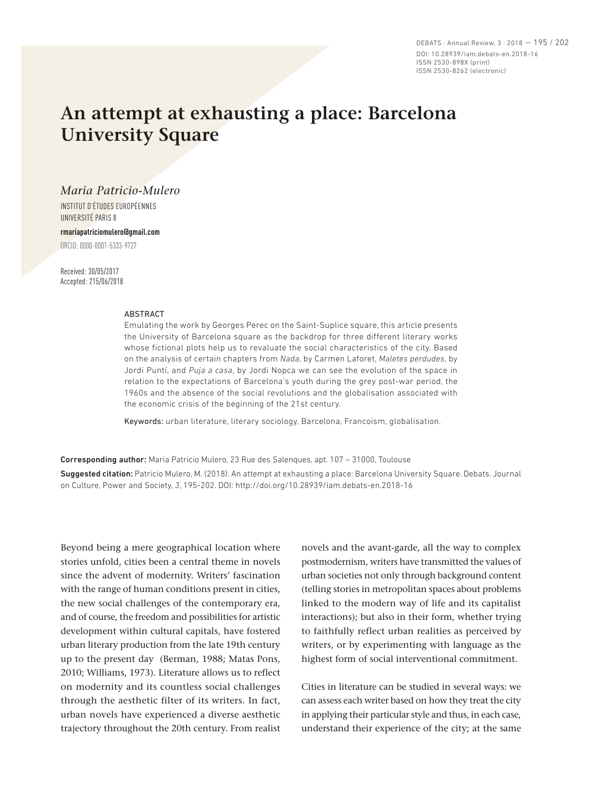DEBATS · Annual Review, 3 · 2018 — 195 / 202 DOI: 10.28939/iam.debats-en.2018-16 ISSN 2530-898X (print) ISSN 2530-8262 (electronic)

# **An attempt at exhausting a place: Barcelona University Square**

## *Maria Patricio-Mulero*

INSTITUT D'ÉTUDES EUROPÉENNES UNIVERSITÉ PARIS 8

**rmariapatriciomulero@gmail.com**

ORCID: 0000‑0001‑5333‑9727

Received: 30/05/2017 Accepted: 215/06/2018

#### **ARSTRACT**

Emulating the work by Georges Perec on the Saint-Suplice square, this article presents the University of Barcelona square as the backdrop for three different literary works whose fictional plots help us to revaluate the social characteristics of the city. Based on the analysis of certain chapters from *Nada*, by Carmen Laforet, *Maletes perdudes*, by Jordi Puntí, and *Puja a casa*, by Jordi Nopca we can see the evolution of the space in relation to the expectations of Barcelona's youth during the grey post-war period, the 1960s and the absence of the social revolutions and the globalisation associated with the economic crisis of the beginning of the 21st century.

Keywords: urban literature, literary sociology, Barcelona, Francoism, globalisation.

Corresponding author: Maria Patricio Mulero, 23 Rue des Salenques, apt. 107 – 31000, Toulouse

Suggested citation: Patricio Mulero, M. (2018). An attempt at exhausting a place: Barcelona University Square. Debats. Journal on Culture, Power and Society, *3*, 195-202. DOI: http://doi.org/10.28939/iam.debats-en.2018-16

Beyond being a mere geographical location where stories unfold, cities been a central theme in novels since the advent of modernity. Writers' fascination with the range of human conditions present in cities, the new social challenges of the contemporary era, and of course, the freedom and possibilities for artistic development within cultural capitals, have fostered urban literary production from the late 19th century up to the present day (Berman, 1988; Matas Pons, 2010; Williams, 1973). Literature allows us to reflect on modernity and its countless social challenges through the aesthetic filter of its writers. In fact, urban novels have experienced a diverse aesthetic trajectory throughout the 20th century. From realist novels and the avant-garde, all the way to complex postmodernism, writers have transmitted the values of urban societies not only through background content (telling stories in metropolitan spaces about problems linked to the modern way of life and its capitalist interactions); but also in their form, whether trying to faithfully reflect urban realities as perceived by writers, or by experimenting with language as the highest form of social interventional commitment.

Cities in literature can be studied in several ways: we can assess each writer based on how they treat the city in applying their particular style and thus, in each case, understand their experience of the city; at the same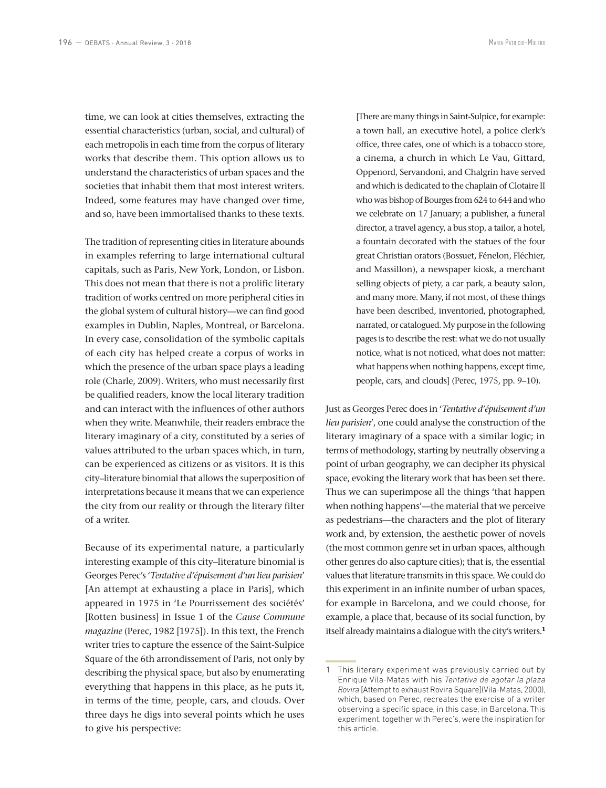time, we can look at cities themselves, extracting the essential characteristics (urban, social, and cultural) of each metropolis in each time from the corpus of literary works that describe them. This option allows us to understand the characteristics of urban spaces and the societies that inhabit them that most interest writers. Indeed, some features may have changed over time, and so, have been immortalised thanks to these texts.

The tradition of representing cities in literature abounds in examples referring to large international cultural capitals, such as Paris, New York, London, or Lisbon. This does not mean that there is not a prolific literary tradition of works centred on more peripheral cities in the global system of cultural history—we can find good examples in Dublin, Naples, Montreal, or Barcelona. In every case, consolidation of the symbolic capitals of each city has helped create a corpus of works in which the presence of the urban space plays a leading role (Charle, 2009). Writers, who must necessarily first be qualified readers, know the local literary tradition and can interact with the influences of other authors when they write. Meanwhile, their readers embrace the literary imaginary of a city, constituted by a series of values attributed to the urban spaces which, in turn, can be experienced as citizens or as visitors. It is this city–literature binomial that allows the superposition of interpretations because it means that we can experience the city from our reality or through the literary filter of a writer.

Because of its experimental nature, a particularly interesting example of this city–literature binomial is Georges Perec's '*Tentative d'épuisement d'un lieu parisien*' [An attempt at exhausting a place in Paris], which appeared in 1975 in 'Le Pourrissement des sociétés' [Rotten business] in Issue 1 of the *Cause Commune magazine* (Perec, 1982 [1975]). In this text, the French writer tries to capture the essence of the Saint-Sulpice Square of the 6th arrondissement of Paris, not only by describing the physical space, but also by enumerating everything that happens in this place, as he puts it, in terms of the time, people, cars, and clouds. Over three days he digs into several points which he uses to give his perspective:

[There are many things in Saint-Sulpice, for example: a town hall, an executive hotel, a police clerk's office, three cafes, one of which is a tobacco store, a cinema, a church in which Le Vau, Gittard, Oppenord, Servandoni, and Chalgrin have served and which is dedicated to the chaplain of Clotaire II who was bishop of Bourges from 624 to 644 and who we celebrate on 17 January; a publisher, a funeral director, a travel agency, a bus stop, a tailor, a hotel, a fountain decorated with the statues of the four great Christian orators (Bossuet, Fénelon, Fléchier, and Massillon), a newspaper kiosk, a merchant selling objects of piety, a car park, a beauty salon, and many more. Many, if not most, of these things have been described, inventoried, photographed, narrated, or catalogued. My purpose in the following pages is to describe the rest: what we do not usually notice, what is not noticed, what does not matter: what happens when nothing happens, except time, people, cars, and clouds] (Perec, 1975, pp. 9–10).

Just as Georges Perec does in '*Tentative d'épuisement d'un lieu parisien*', one could analyse the construction of the literary imaginary of a space with a similar logic; in terms of methodology, starting by neutrally observing a point of urban geography, we can decipher its physical space, evoking the literary work that has been set there. Thus we can superimpose all the things 'that happen when nothing happens'—the material that we perceive as pedestrians—the characters and the plot of literary work and, by extension, the aesthetic power of novels (the most common genre set in urban spaces, although other genres do also capture cities); that is, the essential values that literature transmits in this space. We could do this experiment in an infinite number of urban spaces, for example in Barcelona, and we could choose, for example, a place that, because of its social function, by itself already maintains a dialogue with the city's writers.**<sup>1</sup>**

<sup>1</sup> This literary experiment was previously carried out by Enrique Vila-Matas with his *Tentativa de agotar la plaza Rovira* [Attempt to exhaust Rovira Square](Vila-Matas, 2000), which, based on Perec, recreates the exercise of a writer observing a specific space, in this case, in Barcelona. This experiment, together with Perec's, were the inspiration for this article.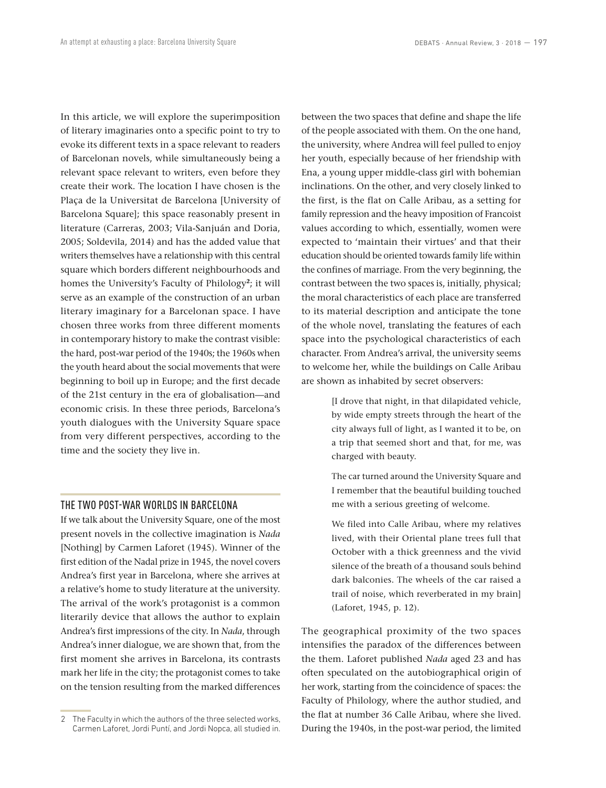In this article, we will explore the superimposition of literary imaginaries onto a specific point to try to evoke its different texts in a space relevant to readers of Barcelonan novels, while simultaneously being a relevant space relevant to writers, even before they create their work. The location I have chosen is the Plaça de la Universitat de Barcelona [University of Barcelona Square]; this space reasonably present in literature (Carreras, 2003; Vila-Sanjuán and Doria, 2005; Soldevila, 2014) and has the added value that writers themselves have a relationship with this central square which borders different neighbourhoods and homes the University's Faculty of Philology**<sup>2</sup>**; it will serve as an example of the construction of an urban literary imaginary for a Barcelonan space. I have chosen three works from three different moments in contemporary history to make the contrast visible: the hard, post-war period of the 1940s; the 1960s when the youth heard about the social movements that were beginning to boil up in Europe; and the first decade of the 21st century in the era of globalisation—and economic crisis. In these three periods, Barcelona's youth dialogues with the University Square space from very different perspectives, according to the time and the society they live in.

#### THE TWO POST-WAR WORLDS IN BARCELONA

If we talk about the University Square, one of the most present novels in the collective imagination is *Nada* [Nothing] by Carmen Laforet (1945). Winner of the first edition of the Nadal prize in 1945, the novel covers Andrea's first year in Barcelona, where she arrives at a relative's home to study literature at the university. The arrival of the work's protagonist is a common literarily device that allows the author to explain Andrea's first impressions of the city. In *Nada*, through Andrea's inner dialogue, we are shown that, from the first moment she arrives in Barcelona, its contrasts mark her life in the city; the protagonist comes to take on the tension resulting from the marked differences

between the two spaces that define and shape the life of the people associated with them. On the one hand, the university, where Andrea will feel pulled to enjoy her youth, especially because of her friendship with Ena, a young upper middle-class girl with bohemian inclinations. On the other, and very closely linked to the first, is the flat on Calle Aribau, as a setting for family repression and the heavy imposition of Francoist values according to which, essentially, women were expected to 'maintain their virtues' and that their education should be oriented towards family life within the confines of marriage. From the very beginning, the contrast between the two spaces is, initially, physical; the moral characteristics of each place are transferred to its material description and anticipate the tone of the whole novel, translating the features of each space into the psychological characteristics of each character. From Andrea's arrival, the university seems to welcome her, while the buildings on Calle Aribau are shown as inhabited by secret observers:

> [I drove that night, in that dilapidated vehicle, by wide empty streets through the heart of the city always full of light, as I wanted it to be, on a trip that seemed short and that, for me, was charged with beauty.

> The car turned around the University Square and I remember that the beautiful building touched me with a serious greeting of welcome.

> We filed into Calle Aribau, where my relatives lived, with their Oriental plane trees full that October with a thick greenness and the vivid silence of the breath of a thousand souls behind dark balconies. The wheels of the car raised a trail of noise, which reverberated in my brain] (Laforet, 1945, p. 12).

The geographical proximity of the two spaces intensifies the paradox of the differences between the them. Laforet published *Nada* aged 23 and has often speculated on the autobiographical origin of her work, starting from the coincidence of spaces: the Faculty of Philology, where the author studied, and the flat at number 36 Calle Aribau, where she lived. During the 1940s, in the post-war period, the limited

<sup>2</sup> The Faculty in which the authors of the three selected works, Carmen Laforet, Jordi Puntí, and Jordi Nopca, all studied in.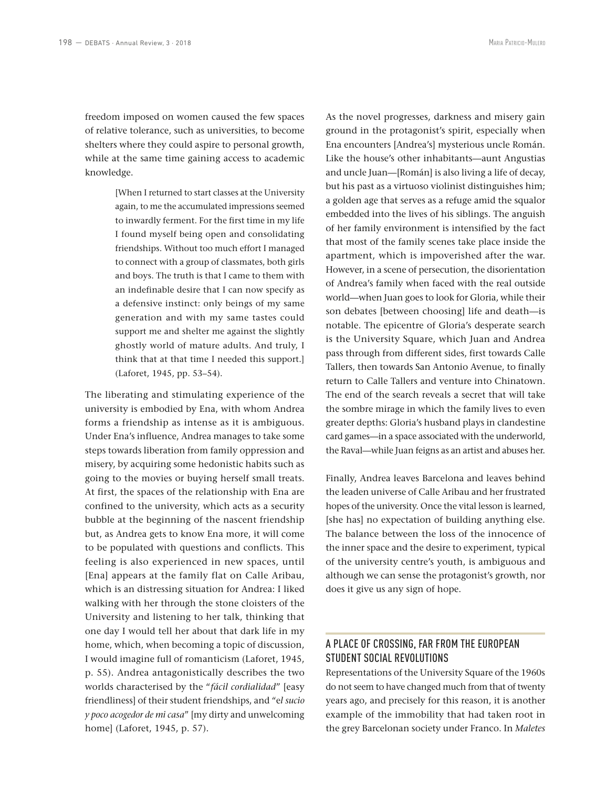freedom imposed on women caused the few spaces of relative tolerance, such as universities, to become shelters where they could aspire to personal growth, while at the same time gaining access to academic knowledge.

> [When I returned to start classes at the University again, to me the accumulated impressions seemed to inwardly ferment. For the first time in my life I found myself being open and consolidating friendships. Without too much effort I managed to connect with a group of classmates, both girls and boys. The truth is that I came to them with an indefinable desire that I can now specify as a defensive instinct: only beings of my same generation and with my same tastes could support me and shelter me against the slightly ghostly world of mature adults. And truly, I think that at that time I needed this support.] (Laforet, 1945, pp. 53–54).

The liberating and stimulating experience of the university is embodied by Ena, with whom Andrea forms a friendship as intense as it is ambiguous. Under Ena's influence, Andrea manages to take some steps towards liberation from family oppression and misery, by acquiring some hedonistic habits such as going to the movies or buying herself small treats. At first, the spaces of the relationship with Ena are confined to the university, which acts as a security bubble at the beginning of the nascent friendship but, as Andrea gets to know Ena more, it will come to be populated with questions and conflicts. This feeling is also experienced in new spaces, until [Ena] appears at the family flat on Calle Aribau, which is an distressing situation for Andrea: I liked walking with her through the stone cloisters of the University and listening to her talk, thinking that one day I would tell her about that dark life in my home, which, when becoming a topic of discussion, I would imagine full of romanticism (Laforet, 1945, p. 55). Andrea antagonistically describes the two worlds characterised by the "*fácil cordialidad*" [easy friendliness] of their student friendships, and "e*l sucio y poco acogedor de mi casa*" [my dirty and unwelcoming home] (Laforet, 1945, p. 57).

As the novel progresses, darkness and misery gain ground in the protagonist's spirit, especially when Ena encounters [Andrea's] mysterious uncle Román. Like the house's other inhabitants—aunt Angustias and uncle Juan—[Román] is also living a life of decay, but his past as a virtuoso violinist distinguishes him; a golden age that serves as a refuge amid the squalor embedded into the lives of his siblings. The anguish of her family environment is intensified by the fact that most of the family scenes take place inside the apartment, which is impoverished after the war. However, in a scene of persecution, the disorientation of Andrea's family when faced with the real outside world—when Juan goes to look for Gloria, while their son debates [between choosing] life and death—is notable. The epicentre of Gloria's desperate search is the University Square, which Juan and Andrea pass through from different sides, first towards Calle Tallers, then towards San Antonio Avenue, to finally return to Calle Tallers and venture into Chinatown. The end of the search reveals a secret that will take the sombre mirage in which the family lives to even greater depths: Gloria's husband plays in clandestine card games—in a space associated with the underworld, the Raval—while Juan feigns as an artist and abuses her.

Finally, Andrea leaves Barcelona and leaves behind the leaden universe of Calle Aribau and her frustrated hopes of the university. Once the vital lesson is learned, [she has] no expectation of building anything else. The balance between the loss of the innocence of the inner space and the desire to experiment, typical of the university centre's youth, is ambiguous and although we can sense the protagonist's growth, nor does it give us any sign of hope.

## A PLACE OF CROSSING, FAR FROM THE EUROPEAN STUDENT SOCIAL REVOLUTIONS

Representations of the University Square of the 1960s do not seem to have changed much from that of twenty years ago, and precisely for this reason, it is another example of the immobility that had taken root in the grey Barcelonan society under Franco. In *Maletes*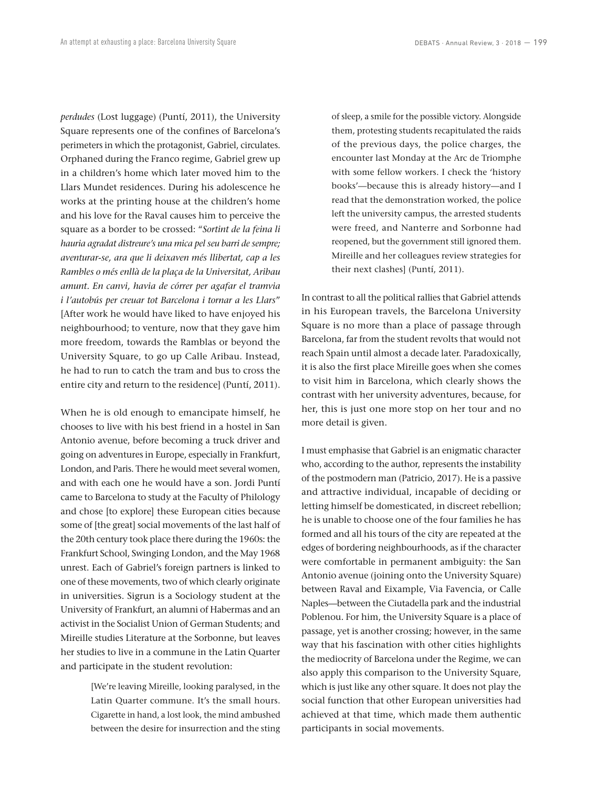*perdudes* (Lost luggage) (Puntí, 2011), the University Square represents one of the confines of Barcelona's perimeters in which the protagonist, Gabriel, circulates. Orphaned during the Franco regime, Gabriel grew up in a children's home which later moved him to the Llars Mundet residences. During his adolescence he works at the printing house at the children's home and his love for the Raval causes him to perceive the square as a border to be crossed: "*Sortint de la feina li hauria agradat distreure's una mica pel seu barri de sempre; aventurar-se, ara que li deixaven més llibertat, cap a les Rambles o més enllà de la plaça de la Universitat, Aribau amunt. En canvi, havia de córrer per agafar el tramvia i l'autobús per creuar tot Barcelona i tornar a les Llars*" [After work he would have liked to have enjoyed his neighbourhood; to venture, now that they gave him more freedom, towards the Ramblas or beyond the University Square, to go up Calle Aribau. Instead, he had to run to catch the tram and bus to cross the entire city and return to the residence] (Puntí, 2011).

When he is old enough to emancipate himself, he chooses to live with his best friend in a hostel in San Antonio avenue, before becoming a truck driver and going on adventures in Europe, especially in Frankfurt, London, and Paris. There he would meet several women, and with each one he would have a son. Jordi Puntí came to Barcelona to study at the Faculty of Philology and chose [to explore] these European cities because some of [the great] social movements of the last half of the 20th century took place there during the 1960s: the Frankfurt School, Swinging London, and the May 1968 unrest. Each of Gabriel's foreign partners is linked to one of these movements, two of which clearly originate in universities. Sigrun is a Sociology student at the University of Frankfurt, an alumni of Habermas and an activist in the Socialist Union of German Students; and Mireille studies Literature at the Sorbonne, but leaves her studies to live in a commune in the Latin Quarter and participate in the student revolution:

> [We're leaving Mireille, looking paralysed, in the Latin Quarter commune. It's the small hours. Cigarette in hand, a lost look, the mind ambushed between the desire for insurrection and the sting

of sleep, a smile for the possible victory. Alongside them, protesting students recapitulated the raids of the previous days, the police charges, the encounter last Monday at the Arc de Triomphe with some fellow workers. I check the 'history books'—because this is already history—and I read that the demonstration worked, the police left the university campus, the arrested students were freed, and Nanterre and Sorbonne had reopened, but the government still ignored them. Mireille and her colleagues review strategies for their next clashes] (Puntí, 2011).

In contrast to all the political rallies that Gabriel attends in his European travels, the Barcelona University Square is no more than a place of passage through Barcelona, far from the student revolts that would not reach Spain until almost a decade later. Paradoxically, it is also the first place Mireille goes when she comes to visit him in Barcelona, which clearly shows the contrast with her university adventures, because, for her, this is just one more stop on her tour and no more detail is given.

I must emphasise that Gabriel is an enigmatic character who, according to the author, represents the instability of the postmodern man (Patricio, 2017). He is a passive and attractive individual, incapable of deciding or letting himself be domesticated, in discreet rebellion; he is unable to choose one of the four families he has formed and all his tours of the city are repeated at the edges of bordering neighbourhoods, as if the character were comfortable in permanent ambiguity: the San Antonio avenue (joining onto the University Square) between Raval and Eixample, Via Favencia, or Calle Naples—between the Ciutadella park and the industrial Poblenou. For him, the University Square is a place of passage, yet is another crossing; however, in the same way that his fascination with other cities highlights the mediocrity of Barcelona under the Regime, we can also apply this comparison to the University Square, which is just like any other square. It does not play the social function that other European universities had achieved at that time, which made them authentic participants in social movements.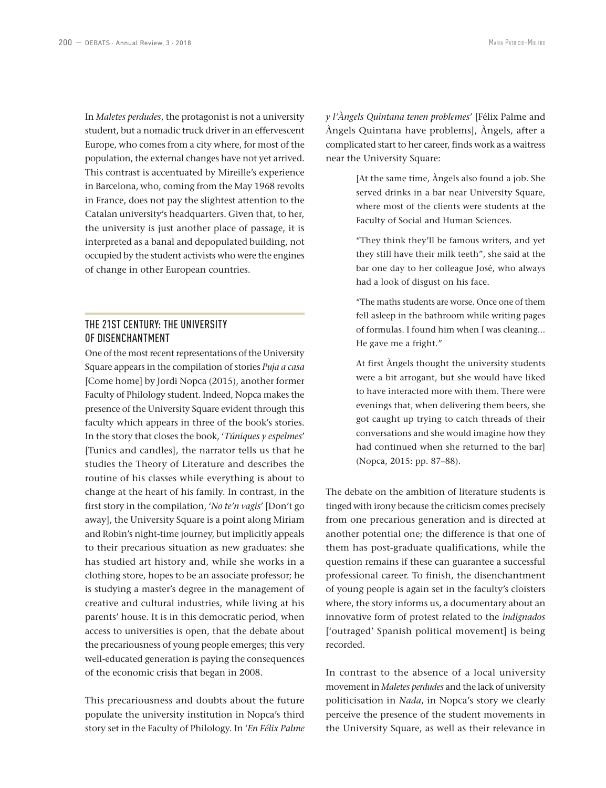In *Maletes perdudes*, the protagonist is not a university student, but a nomadic truck driver in an effervescent Europe, who comes from a city where, for most of the population, the external changes have not yet arrived. This contrast is accentuated by Mireille's experience in Barcelona, who, coming from the May 1968 revolts in France, does not pay the slightest attention to the Catalan university's headquarters. Given that, to her, the university is just another place of passage, it is interpreted as a banal and depopulated building, not occupied by the student activists who were the engines of change in other European countries.

## THE 21ST CENTURY: THE UNIVERSITY OF DISENCHANTMENT

One of the most recent representations of the University Square appears in the compilation of stories *Puja a casa* [Come home] by Jordi Nopca (2015), another former Faculty of Philology student. Indeed, Nopca makes the presence of the University Square evident through this faculty which appears in three of the book's stories. In the story that closes the book, '*Túniques y espelmes*' [Tunics and candles], the narrator tells us that he studies the Theory of Literature and describes the routine of his classes while everything is about to change at the heart of his family. In contrast, in the first story in the compilation, '*No te'n vagis*' [Don't go away], the University Square is a point along Miriam and Robin's night-time journey, but implicitly appeals to their precarious situation as new graduates: she has studied art history and, while she works in a clothing store, hopes to be an associate professor; he is studying a master's degree in the management of creative and cultural industries, while living at his parents' house. It is in this democratic period, when access to universities is open, that the debate about the precariousness of young people emerges; this very well-educated generation is paying the consequences of the economic crisis that began in 2008.

This precariousness and doubts about the future populate the university institution in Nopca's third story set in the Faculty of Philology. In '*En Félix Palme* 

*y l'Àngels Quintana tenen problemes*' [Félix Palme and Àngels Quintana have problems], Àngels, after a complicated start to her career, finds work as a waitress near the University Square:

> [At the same time, Àngels also found a job. She served drinks in a bar near University Square, where most of the clients were students at the Faculty of Social and Human Sciences.

> "They think they'll be famous writers, and yet they still have their milk teeth", she said at the bar one day to her colleague José, who always had a look of disgust on his face.

> "The maths students are worse. Once one of them fell asleep in the bathroom while writing pages of formulas. I found him when I was cleaning... He gave me a fright."

> At first Àngels thought the university students were a bit arrogant, but she would have liked to have interacted more with them. There were evenings that, when delivering them beers, she got caught up trying to catch threads of their conversations and she would imagine how they had continued when she returned to the bar] (Nopca, 2015: pp. 87–88).

The debate on the ambition of literature students is tinged with irony because the criticism comes precisely from one precarious generation and is directed at another potential one; the difference is that one of them has post-graduate qualifications, while the question remains if these can guarantee a successful professional career. To finish, the disenchantment of young people is again set in the faculty's cloisters where, the story informs us, a documentary about an innovative form of protest related to the *indignados* ['outraged' Spanish political movement] is being recorded.

In contrast to the absence of a local university movement in *Maletes perdudes* and the lack of university politicisation in *Nada*, in Nopca's story we clearly perceive the presence of the student movements in the University Square, as well as their relevance in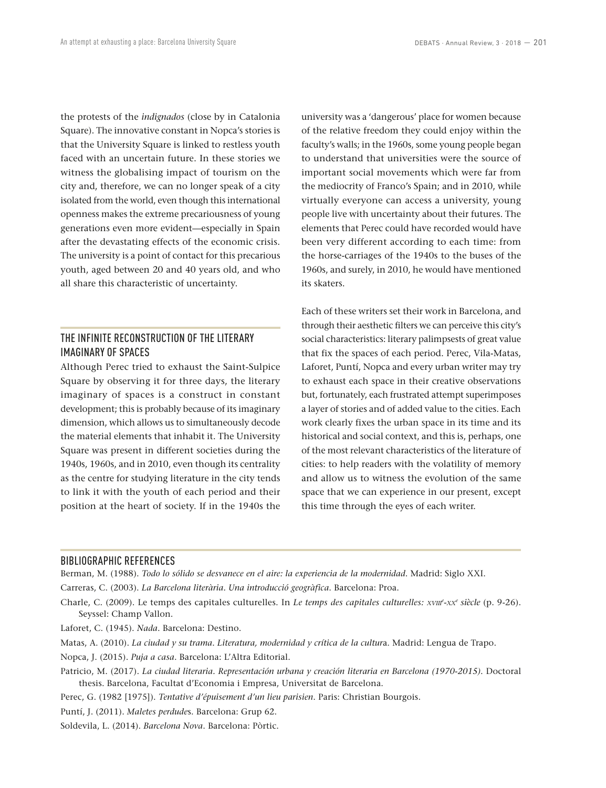the protests of the *indignados* (close by in Catalonia Square). The innovative constant in Nopca's stories is that the University Square is linked to restless youth faced with an uncertain future. In these stories we witness the globalising impact of tourism on the city and, therefore, we can no longer speak of a city isolated from the world, even though this international openness makes the extreme precariousness of young generations even more evident—especially in Spain after the devastating effects of the economic crisis. The university is a point of contact for this precarious youth, aged between 20 and 40 years old, and who all share this characteristic of uncertainty.

#### THE INFINITE RECONSTRUCTION OF THE LITERARY IMAGINARY OF SPACES

Although Perec tried to exhaust the Saint-Sulpice Square by observing it for three days, the literary imaginary of spaces is a construct in constant development; this is probably because of its imaginary dimension, which allows us to simultaneously decode the material elements that inhabit it. The University Square was present in different societies during the 1940s, 1960s, and in 2010, even though its centrality as the centre for studying literature in the city tends to link it with the youth of each period and their position at the heart of society. If in the 1940s the university was a 'dangerous' place for women because of the relative freedom they could enjoy within the faculty's walls; in the 1960s, some young people began to understand that universities were the source of important social movements which were far from the mediocrity of Franco's Spain; and in 2010, while virtually everyone can access a university, young people live with uncertainty about their futures. The elements that Perec could have recorded would have been very different according to each time: from the horse-carriages of the 1940s to the buses of the 1960s, and surely, in 2010, he would have mentioned its skaters.

Each of these writers set their work in Barcelona, and through their aesthetic filters we can perceive this city's social characteristics: literary palimpsests of great value that fix the spaces of each period. Perec, Vila-Matas, Laforet, Puntí, Nopca and every urban writer may try to exhaust each space in their creative observations but, fortunately, each frustrated attempt superimposes a layer of stories and of added value to the cities. Each work clearly fixes the urban space in its time and its historical and social context, and this is, perhaps, one of the most relevant characteristics of the literature of cities: to help readers with the volatility of memory and allow us to witness the evolution of the same space that we can experience in our present, except this time through the eyes of each writer.

#### BIBLIOGRAPHIC REFERENCES

Berman, M. (1988). *Todo lo sólido se desvanece en el aire: la experiencia de la modernidad*. Madrid: Siglo XXI.

- Carreras, C. (2003). *La Barcelona literària. Una introducció geogràfica*. Barcelona: Proa.
- Charle, C. (2009). Le temps des capitales culturelles. In *Le temps des capitales culturelles: xviii<sup>e</sup> -xx<sup>e</sup> siècle* (p. 9-26). Seyssel: Champ Vallon.

Laforet, C. (1945). *Nada*. Barcelona: Destino.

Matas, A. (2010). *La ciudad y su trama. Literatura, modernidad y crítica de la cultur*a. Madrid: Lengua de Trapo.

Nopca, J. (2015). *Puja a casa*. Barcelona: L'Altra Editorial.

- Perec, G. (1982 [1975]). *Tentative d'épuisement d'un lieu parisien*. Paris: Christian Bourgois.
- Puntí, J. (2011). *Maletes perdude*s. Barcelona: Grup 62.
- Soldevila, L. (2014). *Barcelona Nova*. Barcelona: Pòrtic.

Patricio, M. (2017). *La ciudad literaria. Representación urbana y creación literaria en Barcelona (1970-2015)*. Doctoral thesis. Barcelona, Facultat d'Economia i Empresa, Universitat de Barcelona.